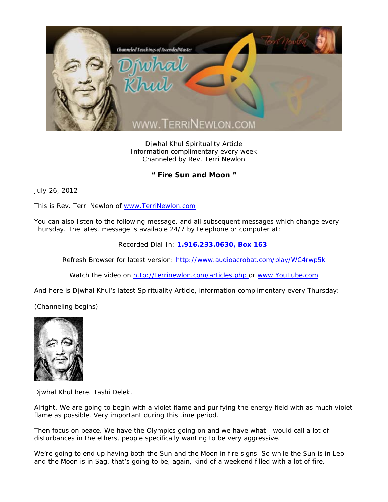

Djwhal Khul Spirituality Article Information complimentary every week Channeled by Rev. Terri Newlon

## **" Fire Sun and Moon "**

July 26, 2012

This is Rev. Terri Newlon of www.TerriNewlon.com

You can also listen to the following message, and all subsequent messages which change every Thursday. The latest message is available 24/7 by telephone or computer at:

Recorded Dial-In: **1.916.233.0630, Box 163** 

Refresh Browser for latest version: http://www.audioacrobat.com/play/WC4rwp5k

Watch the video on http://terrinewlon.com/articles.php or www.YouTube.com

And here is Djwhal Khul's latest Spirituality Article, information complimentary every Thursday:

(Channeling begins)



Djwhal Khul here. Tashi Delek.

Alright. We are going to begin with a violet flame and purifying the energy field with as much violet flame as possible. Very important during this time period.

Then focus on peace. We have the Olympics going on and we have what I would call a lot of disturbances in the ethers, people specifically wanting to be very aggressive.

We're going to end up having both the Sun and the Moon in fire signs. So while the Sun is in Leo and the Moon is in Sag, that's going to be, again, kind of a weekend filled with a lot of fire.